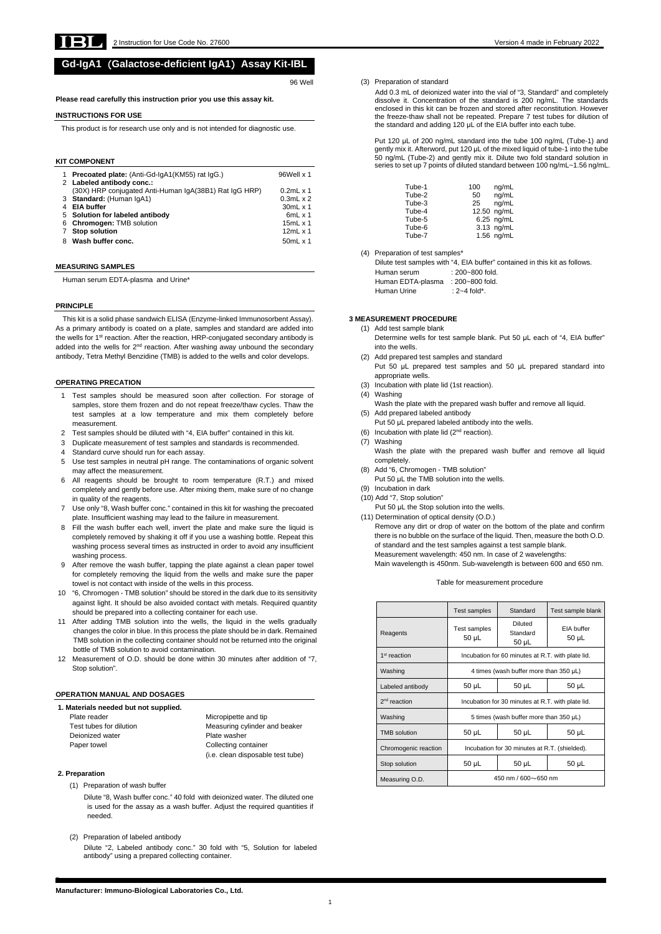

**F**

**Manufacturer: Immuno-Biological Laboratories Co., Ltd.**

# **Gd-IgA1**(**Galactose-deficient IgA1**)**Assay Kit-IBL**

96 Well

**Please read carefully this instruction prior you use this assay kit.** 

#### **INSTRUCTIONS FOR USE**

This product is for research use only and is not intended for diagnostic use.

#### **KIT COMPONENT**

|   | <b>Precoated plate:</b> (Anti-Gd-IgA1(KM55) rat IgG.)  | 96Well x 1          |
|---|--------------------------------------------------------|---------------------|
|   | 2 Labeled antibody conc.:                              |                     |
|   | (30X) HRP conjugated Anti-Human IgA(38B1) Rat IgG HRP) | $0.2$ mL $\times$ 1 |
|   | 3 Standard: (Human IgA1)                               | $0.3$ mL x 2        |
|   | <b>EIA buffer</b>                                      | $30mL \times 1$     |
|   | 5 Solution for labeled antibody                        | $6mL \times 1$      |
|   | 6 Chromogen: TMB solution                              | $15mL \times 1$     |
|   | <b>Stop solution</b>                                   | 12 $mL \times 1$    |
| 8 | Wash buffer conc.                                      | 50 $mL \times 1$    |

#### **MEASURING SAMPLES**

Human serum EDTA-plasma and Urine\*

#### **PRINCIPLE**

This kit is a solid phase sandwich ELISA (Enzyme-linked Immunosorbent Assay). As a primary antibody is coated on a plate, samples and standard are added into the wells for 1<sup>st</sup> reaction. After the reaction, HRP-conjugated secondary antibody is added into the wells for  $2<sup>nd</sup>$  reaction. After washing away unbound the secondary antibody, Tetra Methyl Benzidine (TMB) is added to the wells and color develops.

#### **OPERATING PRECATION**

Test tubes for dilution Measuring cylinder and beaker (i.e. clean disposable test tube)

- 1 Test samples should be measured soon after collection. For storage of samples, store them frozen and do not repeat freeze/thaw cycles. Thaw the test samples at a low temperature and mix them completely before measurement.
- 2 Test samples should be diluted with "4, EIA buffer" contained in this kit.
- 3 Duplicate measurement of test samples and standards is recommended.
- 4 Standard curve should run for each assay.
- 5 Use test samples in neutral pH range. The contaminations of organic solvent may affect the measurement.
- 6 All reagents should be brought to room temperature (R.T.) and mixed completely and gently before use. After mixing them, make sure of no change in quality of the reagents.
- 7 Use only "8, Wash buffer conc." contained in this kit for washing the precoated plate. Insufficient washing may lead to the failure in measurement.
- 8 Fill the wash buffer each well, invert the plate and make sure the liquid is completely removed by shaking it off if you use a washing bottle. Repeat this washing process several times as instructed in order to avoid any insufficient washing process.
- 9 After remove the wash buffer, tapping the plate against a clean paper towel for completely removing the liquid from the wells and make sure the paper towel is not contact with inside of the wells in this process.
- 10 "6, Chromogen TMB solution" should be stored in the dark due to its sensitivity against light. It should be also avoided contact with metals. Required quantity should be prepared into a collecting container for each use.
- 11 After adding TMB solution into the wells, the liquid in the wells gradually changes the color in blue. In this process the plate should be in dark. Remained TMB solution in the collecting container should not be returned into the original bottle of TMB solution to avoid contamination.
- 12 Measurement of O.D. should be done within 30 minutes after addition of "7, Stop solution".

Dilute test samples with "4, EIA buffer" contained in this kit as follows. Human serum : 200~800 fold. Human EDTA-plasma : 200~800 fold. Human Urine : 2~4 fold\*.

## **OPERATION MANUAL AND DOSAGES**

#### **1. Materials needed but not supplied.**

Plate reader **Micropipette** and tip Deionized water **Plate washer** Paper towel **Collecting container** 

## **2. Preparation**

(1) Preparation of wash buffer

Dilute "8, Wash buffer conc." 40 fold with deionized water. The diluted one is used for the assay as a wash buffer. Adjust the required quantities if needed.

(2) Preparation of labeled antibody

Dilute "2, Labeled antibody conc." 30 fold with "5, Solution for labeled antibody" using a prepared collecting container.

## (3) Preparation of standard

Add 0.3 mL of deionized water into the vial of "3, Standard" and completely dissolve it. Concentration of the standard is 200 ng/mL. The standards enclosed in this kit can be frozen and stored after reconstitution. However the freeze-thaw shall not be repeated. Prepare 7 test tubes for dilution of the standard and adding 120 μL of the EIA buffer into each tube.

Put 120 μL of 200 ng/mL standard into the tube 100 ng/mL (Tube-1) and gently mix it. Afterword, put 120 μL of the mixed liquid of tube-1 into the tube 50 ng/mL (Tube-2) and gently mix it. Dilute two fold standard solution in series to set up 7 points of diluted standard between 100 ng/mL~1.56 ng/mL.

| Tube-1 | 100 | ng/mL       |
|--------|-----|-------------|
| Tube-2 | 50  | ng/mL       |
| Tube-3 | 25  | ng/mL       |
| Tube-4 |     | 12.50 ng/mL |
| Tube-5 |     | 6.25 ng/mL  |
| Tube-6 |     | 3.13 ng/mL  |
| Tube-7 |     | 1.56 ng/mL  |

(4) Preparation of test samples\*

#### **3 MEASUREMENT PROCEDURE**

- (1) Add test sample blank Determine wells for test sample blank. Put 50 μL each of "4, EIA buffer" into the wells.
- (2) Add prepared test samples and standard Put 50 μL prepared test samples and 50 μL prepared standard into appropriate wells.
- (3) Incubation with plate lid (1st reaction).
- (4) Washing
- Wash the plate with the prepared wash buffer and remove all liquid. (5) Add prepared labeled antibody
	- Put 50 μL prepared labeled antibody into the wells.
- (6) Incubation with plate lid ( $2<sup>nd</sup>$  reaction).
- (7) Washing Wash the plate with the prepared wash buffer and remove all liquid completely.
- (8) Add "6, Chromogen TMB solution"
- Put 50 μL the TMB solution into the wells.
- (9) Incubation in dark
- (10) Add "7, Stop solution"
	- Put 50 μL the Stop solution into the wells.

(11) Determination of optical density (O.D.) Remove any dirt or drop of water on the bottom of the plate and confirm there is no bubble on the surface of the liquid. Then, measure the both O.D. of standard and the test samples against a test sample blank. Measurement wavelength: 450 nm. In case of 2 wavelengths: Main wavelength is 450nm. Sub-wavelength is between 600 and 650 nm.

#### Table for measurement procedure

|                      | Test samples                                                                                    | Standard                     | Test sample blank        |
|----------------------|-------------------------------------------------------------------------------------------------|------------------------------|--------------------------|
| Reagents             | Test samples<br>$50 \mu L$                                                                      | Diluted<br>Standard<br>50 µL | FIA buffer<br>$50 \mu L$ |
| $1st$ reaction       | Incubation for 60 minutes at R.T. with plate lid.                                               |                              |                          |
| Washing              | 4 times (wash buffer more than $350 \mu L$ )                                                    |                              |                          |
| Labeled antibody     | $50 \mu L$                                                                                      | $50 \mu L$                   | 50 µL                    |
| $2nd$ reaction       | Incubation for 30 minutes at R.T. with plate lid.<br>5 times (wash buffer more than 350 µL)     |                              |                          |
| Washing              |                                                                                                 |                              |                          |
| <b>TMB</b> solution  | $50 \mu L$                                                                                      | $50 \mu L$                   | $50 \mu L$               |
| Chromogenic reaction | Incubation for 30 minutes at R.T. (shielded).<br>50 µL<br>50 µL<br>50 µL<br>450 nm / 600~650 nm |                              |                          |
| Stop solution        |                                                                                                 |                              |                          |
| Measuring O.D.       |                                                                                                 |                              |                          |